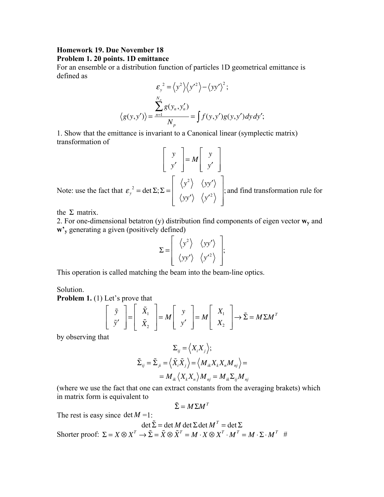## **Homework 19. Due November 18 Problem 1. 20 points. 1D emittance**

For an ensemble or a distribution function of particles 1D geometrical emittance is defined as

$$
\varepsilon_{y}^{2} = \langle y^{2} \rangle \langle y'^{2} \rangle - \langle yy' \rangle^{2};
$$

$$
\langle g(y, y') \rangle = \frac{\sum_{n=1}^{N_{p}} g(y_{n}, y'_{n})}{N_{p}} = \int f(y, y') g(y, y') dy dy';
$$

1. Show that the emittance is invariant to a Canonical linear (symplectic matrix) transformation of

*y y*′  $\mathsf{L}$ ⎣  $\mathsf{I}$ ⎢  $\overline{\phantom{a}}$ ⎦  $\overline{\phantom{a}}$  $\overline{\phantom{a}}$  $=M$   $\begin{bmatrix} y \\ y \end{bmatrix}$ *y*′ ⎡ ⎣ ⎢ ⎢  $\overline{\phantom{a}}$ ⎦  $\overline{\phantom{a}}$  $\overline{\phantom{a}}$ Note: use the fact that  $\varepsilon_y^2 = \det \Sigma$ ;  $\Sigma = \begin{vmatrix} \langle y^2 \rangle & \langle yy' \rangle \\ \langle y^2 \rangle & \langle y' \rangle \end{vmatrix}$ *yy'*  $\langle y'^2 \rangle$ ⎡ ⎣ ⎢ ⎢ ⎢  $\overline{\phantom{a}}$ ⎦  $\overline{\phantom{a}}$  $\overline{\phantom{a}}$ ⎥ ; and find transformation rule for

the  $\Sigma$  matrix.

2. For one-dimensional betatron (y) distribution find components of eigen vector **wy** and **w'y** generating a given (positively defined)

$$
\Sigma = \left[ \begin{array}{cc} \left\langle y^2 \right\rangle & \left\langle yy' \right\rangle \\ \left\langle yy' \right\rangle & \left\langle y'^2 \right\rangle \end{array} \right];
$$

This operation is called matching the beam into the beam-line optics.

Solution.

**Problem 1.** (1) Let's prove that

$$
\begin{bmatrix} \tilde{y} \\ \tilde{y}' \end{bmatrix} = \begin{bmatrix} \tilde{X}_1 \\ \tilde{X}_2 \end{bmatrix} = M \begin{bmatrix} y \\ y' \end{bmatrix} = M \begin{bmatrix} X_1 \\ X_2 \end{bmatrix} \rightarrow \tilde{\Sigma} = M \Sigma M^T
$$

by observing that

$$
\Sigma_{ij} = \langle X_i X_j \rangle;
$$
  

$$
\tilde{\Sigma}_{ij} = \tilde{\Sigma}_{ji} = \langle \tilde{X}_i \tilde{X}_j \rangle = \langle M_{ik} X_k X_n M_{nj} \rangle =
$$
  

$$
= M_{ik} \langle X_k X_n \rangle M_{nj} = M_{ik} \Sigma_{ij} M_{nj}
$$

(where we use the fact that one can extract constants from the averaging brakets) which in matrix form is equivalent to

$$
\tilde{\Sigma} = M \Sigma M^T
$$

The rest is easy since  $\det M = 1$ :

$$
\det \tilde{\Sigma} = \det M \det \Sigma \det M^T = \det \Sigma
$$
  
Shorter proof:  $\Sigma = X \otimes X^T \to \tilde{\Sigma} = \tilde{X} \otimes \tilde{X}^T = M \cdot X \otimes X^T \cdot M^T = M \cdot \Sigma \cdot M^T \neq 0$